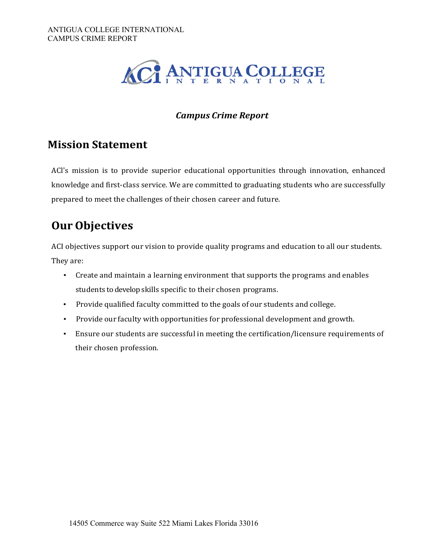

# *Campus Crime Report*

# **Mission Statement**

ACl's mission is to provide superior educational opportunities through innovation, enhanced knowledge and first-class service. We are committed to graduating students who are successfully prepared to meet the challenges of their chosen career and future.

# **Our Objectives**

ACI objectives support our vision to provide quality programs and education to all our students. They are:

- Create and maintain a learning environment that supports the programs and enables students to develop skills specific to their chosen programs.
- Provide qualified faculty committed to the goals of our students and college.
- Provide our faculty with opportunities for professional development and growth.
- Ensure our students are successful in meeting the certification/licensure requirements of their chosen profession.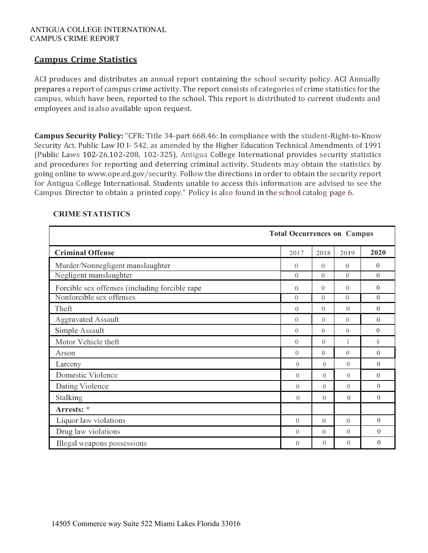# **Campus Crime Statistics**

ACI produces and distributes an annual report containing the school security policy. ACI Annually prepares a report of campus crime activity. The report consists of categories of crime statistics for the campus, which have been, reported to the school. This report is distributed to current students and employees and is also available upon request.

**Campus Security Policy:** "CFR: Title 34-part 668.46: In compliance with the student-Right-to-Know Security Act, Public Law IO I- 542, as amended by the Higher Education Technical Amendments of 1991 (Public Laws 102-26,102-208, 102-325), Antigua College International provides security statistics and procedures for reporting and deterring criminal activity. Students may obtain the statistics by going online to [www.ope.ed.gov/security. F](http://www.ope.ed.gov/security)ollow the directions in order to obtain the security report for Antigua College International. Students unable to access this information are advised to see the Campus Director to obtain a printed copy." Policy is also found in the school catalog page 6.

# **CRIME STATISTICS**

|                                                | <b>Total Occurrences on Campus</b> |                  |          |          |
|------------------------------------------------|------------------------------------|------------------|----------|----------|
| <b>Criminal Offense</b>                        | 2017                               | 2018             | 2019     | 2020     |
| Murder/Nonnegligent manslaughter               | $\Omega$                           | $\Omega$         | $\theta$ | $\theta$ |
| Negligent manslaughter                         | $\Omega$                           | $\Omega$         | $\Omega$ | $\Omega$ |
| Forcible sex offenses (including forcible rape | $\theta$                           | $\Omega$         | $\theta$ | $\Omega$ |
| Nonforcible sex offenses                       | $\theta$                           | $\Omega$         | $\theta$ | $\Omega$ |
| Theft                                          | $\theta$                           | $\Omega$         | $\Omega$ | $\Omega$ |
| <b>Aggravated Assault</b>                      | $\Omega$                           | $\Omega$         | $\theta$ | $\Omega$ |
| Simple Assault                                 | $\theta$                           | $\theta$         | $\theta$ | $\theta$ |
| Motor Vehicle theft                            | $\Omega$                           | $\Omega$         | T        | $\theta$ |
| Arson                                          | $\Omega$                           | $\Omega$         | $\Omega$ | $\Omega$ |
| Larceny                                        | $\theta$                           | $\Omega$         | $\Omega$ | $\Omega$ |
| Domestic Violence                              | $\theta$                           | $\theta$         | $\theta$ | $\theta$ |
| Dating Violence                                | $\theta$                           | $\left( \right)$ | $\Omega$ | $\theta$ |
| Stalking                                       | $\Omega$                           | $\Omega$         | $\theta$ | $\theta$ |
| Arrests: *                                     |                                    |                  |          |          |
| Liquor law violations                          | $\theta$                           | $\theta$         | $\Omega$ | $\Omega$ |
| Drug law violations                            | $\theta$                           | $\Omega$         | $\Omega$ | $\Omega$ |
| Illegal weapons possessions                    | $\theta$                           | $\Omega$         | $\theta$ | $\Omega$ |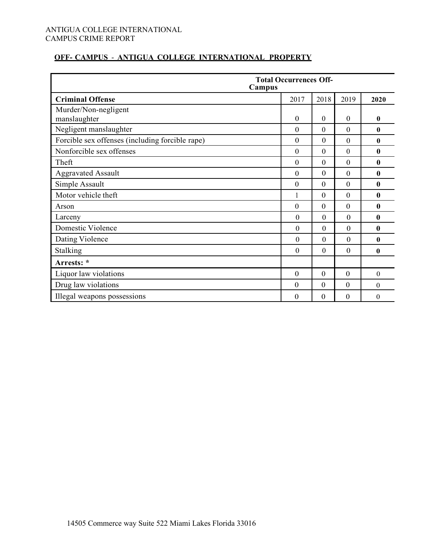# **OFF- CAMPUS** - **ANTIGUA COLLEGE INTERNATIONAL PROPERTY**

| <b>Total Occurrences Off-</b><br>Campus         |                  |                  |                  |                  |
|-------------------------------------------------|------------------|------------------|------------------|------------------|
| <b>Criminal Offense</b>                         | 2017             | 2018             | 2019             | 2020             |
| Murder/Non-negligent<br>manslaughter            | $\mathbf{0}$     | $\Omega$         | $\Omega$         | $\bf{0}$         |
| Negligent manslaughter                          | $\mathbf{0}$     | $\theta$         | $\mathbf{0}$     | $\mathbf{0}$     |
| Forcible sex offenses (including forcible rape) | $\mathbf{0}$     | $\mathbf{0}$     | $\mathbf{0}$     | 0                |
| Nonforcible sex offenses                        | $\boldsymbol{0}$ | $\mathbf{0}$     | $\theta$         | $\bf{0}$         |
| Theft                                           | $\boldsymbol{0}$ | $\mathbf{0}$     | $\mathbf{0}$     | $\mathbf{0}$     |
| <b>Aggravated Assault</b>                       | $\boldsymbol{0}$ | $\overline{0}$   | $\mathbf{0}$     | $\mathbf{0}$     |
| Simple Assault                                  | $\mathbf{0}$     | $\mathbf{0}$     | $\mathbf{0}$     | $\bf{0}$         |
| Motor vehicle theft                             |                  | $\mathbf{0}$     | $\mathbf{0}$     | $\bf{0}$         |
| Arson                                           | $\boldsymbol{0}$ | $\mathbf{0}$     | $\overline{0}$   | $\bf{0}$         |
| Larceny                                         | $\overline{0}$   | $\Omega$         | $\Omega$         | $\bf{0}$         |
| Domestic Violence                               | $\overline{0}$   | $\mathbf{0}$     | $\mathbf{0}$     | $\bf{0}$         |
| Dating Violence                                 | $\Omega$         | $\Omega$         | $\Omega$         | $\mathbf{0}$     |
| Stalking                                        | $\boldsymbol{0}$ | $\theta$         | $\theta$         | $\bf{0}$         |
| Arrests: *                                      |                  |                  |                  |                  |
| Liquor law violations                           | $\boldsymbol{0}$ | $\mathbf{0}$     | $\boldsymbol{0}$ | $\boldsymbol{0}$ |
| Drug law violations                             | $\mathbf{0}$     | $\mathbf{0}$     | $\theta$         | $\theta$         |
| Illegal weapons possessions                     | $\boldsymbol{0}$ | $\boldsymbol{0}$ | $\mathbf{0}$     | $\theta$         |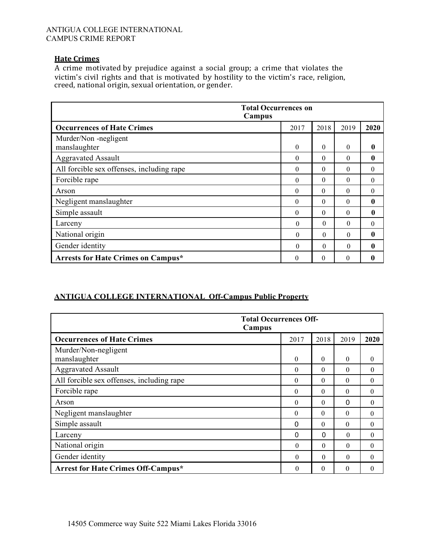# **Hate Crimes**

A crime motivated by prejudice against a social group; a crime that violates the victim's civil rights and that is motivated by hostility to the victim's race, religion, creed, national origin, sexual orientation, or gender.

| <b>Total Occurrences on</b><br>Campus     |          |          |          |              |
|-------------------------------------------|----------|----------|----------|--------------|
| <b>Occurrences of Hate Crimes</b>         | 2017     | 2018     | 2019     | 2020         |
| Murder/Non -negligent                     |          |          |          |              |
| manslaughter                              | $\theta$ | $\theta$ | $\Omega$ | 0            |
| <b>Aggravated Assault</b>                 | $\Omega$ | 0        | $\Omega$ | 0            |
| All forcible sex offenses, including rape | $\theta$ | 0        | $\Omega$ | $\theta$     |
| Forcible rape                             | $\Omega$ | 0        | $\Omega$ | $\theta$     |
| Arson                                     | $\theta$ | 0        | $\Omega$ | $\theta$     |
| Negligent manslaughter                    | $\Omega$ | 0        | $\Omega$ | 0            |
| Simple assault                            | $\Omega$ | 0        | $\Omega$ | 0            |
| Larceny                                   | $\Omega$ | $\Omega$ | $\Omega$ | $\Omega$     |
| National origin                           | $\Omega$ | $\Omega$ | $\Omega$ | 0            |
| Gender identity                           | $\Omega$ | $\theta$ | $\Omega$ | $\mathbf{0}$ |
| <b>Arrests for Hate Crimes on Campus*</b> | 0        | 0        | $\Omega$ | 0            |

# **ANTIGUA COLLEGE INTERNATIONAL Off-Campus Public Property**

| Campus                                    | <b>Total Occurrences Off-</b> |          |          |          |
|-------------------------------------------|-------------------------------|----------|----------|----------|
| <b>Occurrences of Hate Crimes</b>         | 2017                          | 2018     | 2019     | 2020     |
| Murder/Non-negligent<br>manslaughter      | $\theta$                      | $\theta$ | $\theta$ | $\theta$ |
| <b>Aggravated Assault</b>                 | $\Omega$                      | $\Omega$ | $\Omega$ | $\Omega$ |
| All forcible sex offenses, including rape | $\Omega$                      | $\Omega$ | $\Omega$ | $\theta$ |
| Forcible rape                             | $\Omega$                      | $\Omega$ | $\Omega$ | $\Omega$ |
| Arson                                     | $\Omega$                      | $\Omega$ | $\Omega$ | $\Omega$ |
| Negligent manslaughter                    | $\Omega$                      | 0        | $\Omega$ | $\Omega$ |
| Simple assault                            | $\Omega$                      | $\Omega$ | $\Omega$ | $\Omega$ |
| Larceny                                   | 0                             | 0        | $\Omega$ | $\Omega$ |
| National origin                           | $\Omega$                      | $\Omega$ | $\Omega$ | $\Omega$ |
| Gender identity                           | $\Omega$                      | $\Omega$ | $\Omega$ | $\Omega$ |
| <b>Arrest for Hate Crimes Off-Campus*</b> | 0                             | 0        | $\Omega$ | $\Omega$ |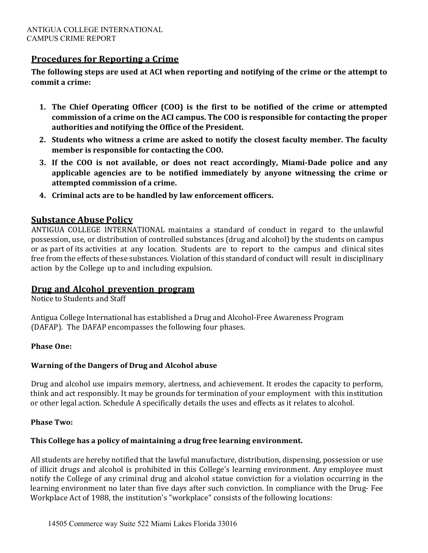# **Procedures for Reporting a Crime**

**The following steps are used at ACI when reporting and notifying of the crime or the attempt to commit a crime:**

- **1. The Chief Operating Officer (COO) is the first to be notified of the crime or attempted commission of a crime on the ACI campus. The COO is responsible for contacting the proper authorities and notifying the Office of the President.**
- **2. Students who witness a crime are asked to notify the closest faculty member. The faculty member is responsible for contacting the COO.**
- **3. If the COO is not available, or does not react accordingly, Miami-Dade police and any applicable agencies are to be notified immediately by anyone witnessing the crime or attempted commission of a crime.**
- **4. Criminal acts are to be handled by law enforcement officers.**

# **Substance Abuse Policy**

ANTIGUA COLLEGE INTERNATIONAL maintains a standard of conduct in regard to the unlawful possession, use, or distribution of controlled substances (drug and alcohol) by the students on campus or as part of its activities at any location. Students are to report to the campus and clinical sites free from the effects of these substances. Violation of this standard of conduct will result in disciplinary action by the College up to and including expulsion.

# **Drug and Alcohol prevention program**

Notice to Students and Staff

Antigua College International has established a Drug and Alcohol-Free Awareness Program (DAFAP). The DAFAP encompasses the following four phases.

# **Phase One:**

# **Warning of the Dangers of Drug and Alcohol abuse**

Drug and alcohol use impairs memory, alertness, and achievement. It erodes the capacity to perform, think and act responsibly. It may be grounds for termination of your employment with this institution or other legal action. Schedule A specifically details the uses and effects as it relates to alcohol.

#### **Phase Two:**

# **This College has a policy of maintaining a drug free learning environment.**

All students are hereby notified that the lawful manufacture, distribution, dispensing, possession or use of illicit drugs and alcohol is prohibited in this College's learning environment. Any employee must notify the College of any criminal drug and alcohol statue conviction for a violation occurring in the learning environment no later than five days after such conviction. In compliance with the Drug- Fee Workplace Act of 1988, the institution's "workplace" consists of the following locations: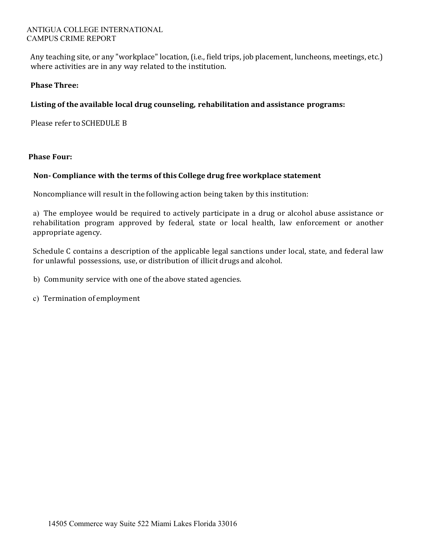Any teaching site, or any "workplace" location, (i.e., field trips, job placement, luncheons, meetings, etc.) where activities are in any way related to the institution.

# **Phase Three:**

# **Listing of the available local drug counseling, rehabilitation and assistance programs:**

Please refer to SCHEDULE B

# **Phase Four:**

# **Non- Compliance with the terms of this College drug free workplace statement**

Noncompliance will result in the following action being taken by this institution:

a) The employee would be required to actively participate in a drug or alcohol abuse assistance or rehabilitation program approved by federal, state or local health, law enforcement or another appropriate agency.

Schedule C contains a description of the applicable legal sanctions under local, state, and federal law for unlawful possessions, use, or distribution of illicit drugs and alcohol.

- b) Community service with one of the above stated agencies.
- c) Termination of employment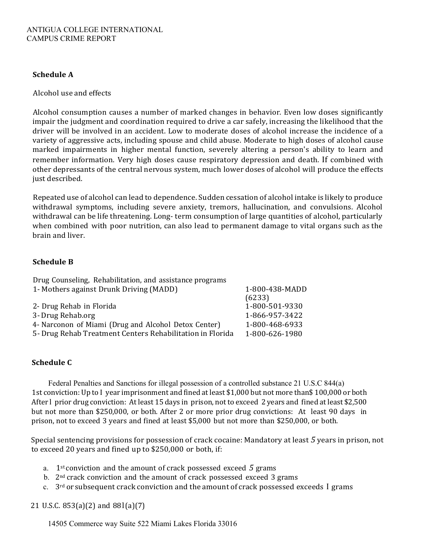# **Schedule A**

### Alcohol use and effects

Alcohol consumption causes a number of marked changes in behavior. Even low doses significantly impair the judgment and coordination required to drive a car safely, increasing the likelihood that the driver will be involved in an accident. Low to moderate doses of alcohol increase the incidence of a variety of aggressive acts, including spouse and child abuse. Moderate to high doses of alcohol cause marked impairments in higher mental function, severely altering a person's ability to learn and remember information. Very high doses cause respiratory depression and death. If combined with other depressants of the central nervous system, much lower doses of alcohol will produce the effects just described.

Repeated use of alcohol can lead to dependence. Sudden cessation of alcohol intake is likely to produce withdrawal symptoms, including severe anxiety, tremors, hallucination, and convulsions. Alcohol withdrawal can be life threatening. Long- term consumption of large quantities of alcohol, particularly when combined with poor nutrition, can also lead to permanent damage to vital organs such as the brain and liver.

# **Schedule B**

| Drug Counseling, Rehabilitation, and assistance programs  |                |
|-----------------------------------------------------------|----------------|
| 1- Mothers against Drunk Driving (MADD)                   | 1-800-438-MADD |
|                                                           | (6233)         |
| 2- Drug Rehab in Florida                                  | 1-800-501-9330 |
| 3-Drug Rehab.org                                          | 1-866-957-3422 |
| 4- Narconon of Miami (Drug and Alcohol Detox Center)      | 1-800-468-6933 |
| 5- Drug Rehab Treatment Centers Rehabilitation in Florida | 1-800-626-1980 |
|                                                           |                |

# **Schedule C**

 Federal Penalties and Sanctions for illegal possession of a controlled substance 21 U.S.C 844(a) 1st conviction: Up to I year imprisonment and fined at least \$1,000 but not more than\$ 100,000 or both After l prior drug conviction: At least 15 days in prison, not to exceed 2 years and fined at least \$2,500 but not more than \$250,000, or both. After 2 or more prior drug convictions: At least 90 days in prison, not to exceed 3 years and fined at least \$5,000 but not more than \$250,000, or both.

Special sentencing provisions for possession of crack cocaine: Mandatory at least *5* years in prison, not to exceed 20 years and fined up to \$250,000 or both, if:

- a. 1st conviction and the amount of crack possessed exceed *5* grams
- b. 2<sup>nd</sup> crack conviction and the amount of crack possessed exceed 3 grams
- c.  $3<sup>rd</sup>$  or subsequent crack conviction and the amount of crack possessed exceeds I grams

# 21 U.S.C. 853(a)(2) and 88l(a)(7)

14505 Commerce way Suite 522 Miami Lakes Florida 33016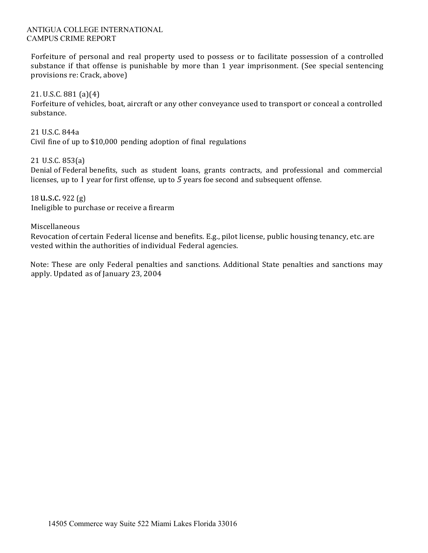Forfeiture of personal and real property used to possess or to facilitate possession of a controlled substance if that offense is punishable by more than 1 year imprisonment. (See special sentencing provisions re: Crack, above)

21. U.S.C. 881 (a)(4)

Forfeiture of vehicles, boat, aircraft or any other conveyance used to transport or conceal a controlled substance.

21 U.S.C. 844a Civil fine of up to \$10,000 pending adoption of final regulations

21 U.S.C. 853(a)

Denial of Federal benefits, such as student loans, grants contracts, and professional and commercial licenses, up to I year for first offense, up to *5* years foe second and subsequent offense.

18 u.s.c. 922 (g) Ineligible to purchase or receive a firearm

Miscellaneous

Revocation of certain Federal license and benefits. E.g., pilot license, public housing tenancy, etc. are vested within the authorities of individual Federal agencies.

Note: These are only Federal penalties and sanctions. Additional State penalties and sanctions may apply. Updated as of January 23, 2004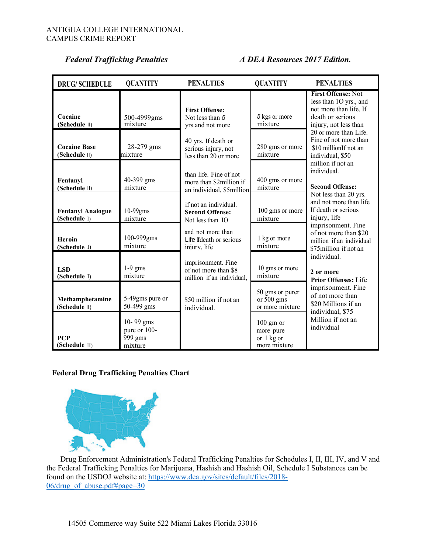### *Federal Trafficking Penalties A DEA Resources 2017 Edition.*

| <b>DRUG/SCHEDULE</b>                     | <b>QUANTITY</b>                                 | <b>PENALTIES</b>                                                               | <b>QUANTITY</b>                                                | <b>PENALTIES</b>                                                                                                                             |
|------------------------------------------|-------------------------------------------------|--------------------------------------------------------------------------------|----------------------------------------------------------------|----------------------------------------------------------------------------------------------------------------------------------------------|
| Cocaine<br>(Schedule II)                 | 500-4999gms<br>mixture                          | <b>First Offense:</b><br>Not less than 5<br>yrs.and not more                   | 5 kgs or more<br>mixture                                       | First Offense: Not<br>less than 1O yrs., and<br>not more than life. If<br>death or serious<br>injury, not less than<br>20 or more than Life. |
| <b>Cocaine Base</b><br>(Schedule II)     | 28-279 gms<br>mixture                           | 40 yrs. If death or<br>serious injury, not<br>less than 20 or more             | 280 gms or more<br>mixture                                     | Fine of not more than<br>\$10 millionIf not an<br>individual, \$50                                                                           |
| Fentanyl<br>(Schedule II)                | 40-399 gms<br>mixture                           | than life. Fine of not<br>more than \$2million if<br>an individual, \$5million | 400 gms or more<br>mixture                                     | million if not an<br>individual.<br><b>Second Offense:</b><br>Not less than 20 yrs.                                                          |
| <b>Fentanyl Analogue</b><br>(Schedule I) | $10-99$ gms<br>mixture                          | if not an individual.<br><b>Second Offense:</b><br>Not less than IO            | 100 gms or more<br>mixture                                     | and not more than life<br>If death or serious<br>injury, life                                                                                |
| Heroin<br>(Schedule I)                   | 100-999gms<br>mixture                           | and not more than<br>Life <b>F</b> death or serious<br>injury, life            | 1 kg or more<br>mixture                                        | imprisonment. Fine<br>of not more than \$20<br>million if an individual<br>\$75million if not an                                             |
| <b>LSD</b><br>(Schedule I)               | $1-9$ gms<br>mixture                            | imprisonment. Fine<br>of not more than \$8<br>million if an individual,        | 10 gms or more<br>mixture                                      | individual.<br>2 or more<br>Prior Offenses: Life                                                                                             |
| Methamphetamine<br>(Schedule II)         | 5-49gms pure or<br>50-499 gms                   | \$50 million if not an<br>individual.                                          | 50 gms or purer<br>or $500$ gms<br>or more mixture             | imprisonment. Fine<br>of not more than<br>\$20 Millions if an<br>individual, \$75                                                            |
| <b>PCP</b><br>(Schedule II)              | 10-99 gms<br>pure or 100-<br>999 gms<br>mixture |                                                                                | $100 \text{ gm}$ or<br>more pure<br>or 1 kg or<br>more mixture | Million if not an<br>individual                                                                                                              |

# **Federal Drug Trafficking Penalties Chart**



Drug Enforcement Administration's Federal Trafficking Penalties for Schedules I, II, III, IV, and V and the Federal Trafficking Penalties for Marijuana, Hashish and Hashish Oil, Schedule I Substances can be found on the USDOJ website at: [https://www.dea.gov/sites/default/files/2018-](https://www.dea.gov/sites/default/files/2018-06/drug_of_abuse.pdf#page=30) [06/drug\\_of\\_abuse.pdf#page=30](https://www.dea.gov/sites/default/files/2018-06/drug_of_abuse.pdf#page=30)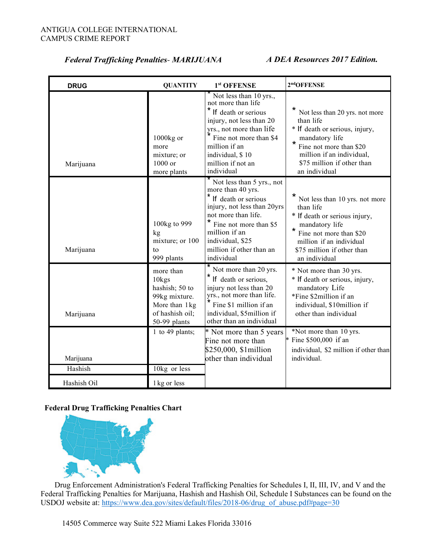# *Federal Trafficking Penalties- MARIJUANA A DEA Resources 2017 Edition.*

| <b>DRUG</b>                         | <b>QUANTITY</b>                                                                                                        | 1 <sup>st</sup> OFFENSE                                                                                                                                                                                                                  | 2 <sup>nd</sup> OFFENSE                                                                                                                                                                                           |
|-------------------------------------|------------------------------------------------------------------------------------------------------------------------|------------------------------------------------------------------------------------------------------------------------------------------------------------------------------------------------------------------------------------------|-------------------------------------------------------------------------------------------------------------------------------------------------------------------------------------------------------------------|
| Marijuana                           | 1000kg or<br>more<br>mixture; or<br>1000 or<br>more plants                                                             | Not less than 10 yrs., not more than life<br>* If death or serious<br>injury, not less than 20<br>yrs., not more than life<br>Fine not more than \$4<br>million if an<br>individual, \$10<br>million if not an<br>individual             | Not less than 20 yrs. not more<br>than life<br>* If death or serious, injury,<br>mandatory life<br>$\star$<br>Fine not more than \$20<br>million if an individual,<br>\$75 million if other than<br>an individual |
| Marijuana                           | 100kg to 999<br>kg<br>mixture; or 100<br>to<br>999 plants                                                              | Not less than 5 yrs., not<br>more than 40 yrs.<br>* If death or serious<br>injury, not less than 20yrs<br>not more than life.<br>* Fine not more than \$5<br>million if an<br>individual, \$25<br>million if other than an<br>individual | Not less than 10 yrs. not more<br>than life<br>* If death or serious injury,<br>mandatory life<br>*<br>Fine not more than \$20<br>million if an individual<br>\$75 million if other than<br>an individual         |
| Marijuana                           | more than<br>10 <sub>kgs</sub><br>hashish; 50 to<br>99kg mixture.<br>More than 1 kg<br>of hashish oil;<br>50-99 plants | Not more than 20 yrs.<br>*<br>If death or serious,<br>injury not less than 20<br>yrs., not more than life.<br>Fine \$1 million if an<br>individual, \$5million if<br>other than an individual                                            | * Not more than 30 yrs.<br>* If death or serious, injury,<br>mandatory Life<br>*Fine \$2million if an<br>individual, \$10million if<br>other than individual                                                      |
| Marijuana<br>Hashish<br>Hashish Oil | 1 to 49 plants;<br>10kg or less<br>1 kg or less                                                                        | * Not more than 5 years<br>Fine not more than<br>\$250,000, \$1million<br>other than individual                                                                                                                                          | *Not more than 10 yrs.<br>Fine \$500,000 if an<br>individual, \$2 million if other than<br>individual.                                                                                                            |

# **Federal Drug Trafficking Penalties Chart**



Drug Enforcement Administration's Federal Trafficking Penalties for Schedules I, II, III, IV, and V and the Federal Trafficking Penalties for Marijuana, Hashish and Hashish Oil, Schedule I Substances can be found on the USDOJ website at: [https://www.dea.gov/sites/default/files/2018-06/drug\\_of\\_abuse.pdf#page=30](https://www.dea.gov/sites/default/files/2018-06/drug_of_abuse.pdf#page=30)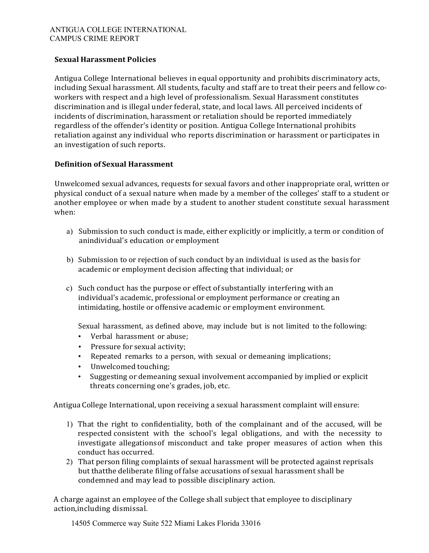# **Sexual Harassment Policies**

Antigua College International believes in equal opportunity and prohibits discriminatory acts, including Sexual harassment. All students, faculty and staff are to treat their peers and fellow coworkers with respect and a high level of professionalism. Sexual Harassment constitutes discrimination and is illegal under federal, state, and local laws. All perceived incidents of incidents of discrimination, harassment or retaliation should be reported immediately regardless of the offender's identity or position. Antigua College International prohibits retaliation against any individual who reports discrimination or harassment or participates in an investigation of such reports.

# **Definition of Sexual Harassment**

Unwelcomed sexual advances, requests for sexual favors and other inappropriate oral, written or physical conduct of a sexual nature when made by a member of the colleges' staff to a student or another employee or when made by a student to another student constitute sexual harassment when:

- a) Submission to such conduct is made, either explicitly or implicitly, a term or condition of anindividual's education or employment
- b) Submission to or rejection of such conduct by an individual is used as the basis for academic or employment decision affecting that individual; or
- c) Such conduct has the purpose or effect of substantially interfering with an individual's academic, professional or employment performance or creating an intimidating, hostile or offensive academic or employment environment.

Sexual harassment, as defined above, may include but is not limited to the following:

- Verbal harassment or abuse;
- Pressure for sexual activity;<br>• Repeated remarks to a person
- Repeated remarks to a person, with sexual or demeaning implications;<br>• Inwelcomed touching
- Unwelcomed touching;
- Suggesting or demeaning sexual involvement accompanied by implied or explicit threats concerning one's grades, job, etc.

Antigua College International, upon receiving a sexual harassment complaint will ensure:

- 1) That the right to confidentiality, both of the complainant and of the accused, will be respected consistent with the school's legal obligations, and with the necessity to investigate allegationsof misconduct and take proper measures of action when this conduct has occurred.
- 2) That person filing complaints of sexual harassment will be protected against reprisals but thatthe deliberate filing of false accusations of sexual harassment shall be condemned and may lead to possible disciplinary action.

A charge against an employee of the College shall subject that employee to disciplinary action,including dismissal.